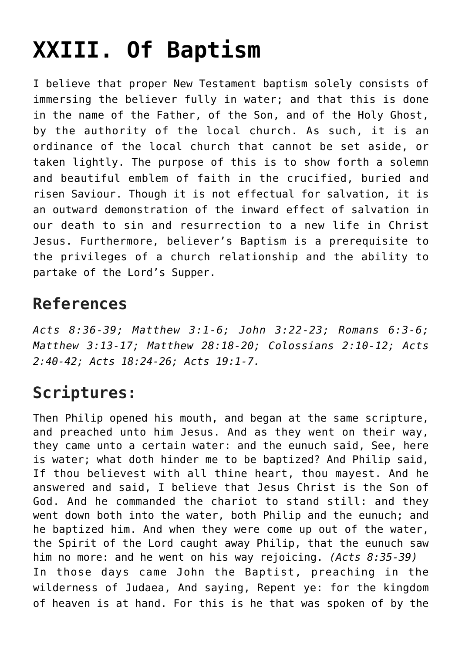## **[XXIII. Of Baptism](https://reproachofmen.org/statement-of-faith/xxiii-of-baptism/)**

I believe that proper New Testament baptism solely consists of immersing the believer fully in water; and that this is done in the name of the Father, of the Son, and of the Holy Ghost, by the authority of the local church. As such, it is an ordinance of the local church that cannot be set aside, or taken lightly. The purpose of this is to show forth a solemn and beautiful emblem of faith in the crucified, buried and risen Saviour. Though it is not effectual for salvation, it is an outward demonstration of the inward effect of salvation in our death to sin and resurrection to a new life in Christ Jesus. Furthermore, believer's Baptism is a prerequisite to the privileges of a church relationship and the ability to partake of the Lord's Supper.

## **References**

*Acts 8:36-39; Matthew 3:1-6; John 3:22-23; Romans 6:3-6; Matthew 3:13-17; Matthew 28:18-20; Colossians 2:10-12; Acts 2:40-42; Acts 18:24-26; Acts 19:1-7.*

## **Scriptures:**

Then Philip opened his mouth, and began at the same scripture, and preached unto him Jesus. And as they went on their way, they came unto a certain water: and the eunuch said, See, here is water; what doth hinder me to be baptized? And Philip said, If thou believest with all thine heart, thou mayest. And he answered and said, I believe that Jesus Christ is the Son of God. And he commanded the chariot to stand still: and they went down both into the water, both Philip and the eunuch; and he baptized him. And when they were come up out of the water, the Spirit of the Lord caught away Philip, that the eunuch saw him no more: and he went on his way rejoicing. *(Acts 8:35-39)* In those days came John the Baptist, preaching in the wilderness of Judaea, And saying, Repent ye: for the kingdom of heaven is at hand. For this is he that was spoken of by the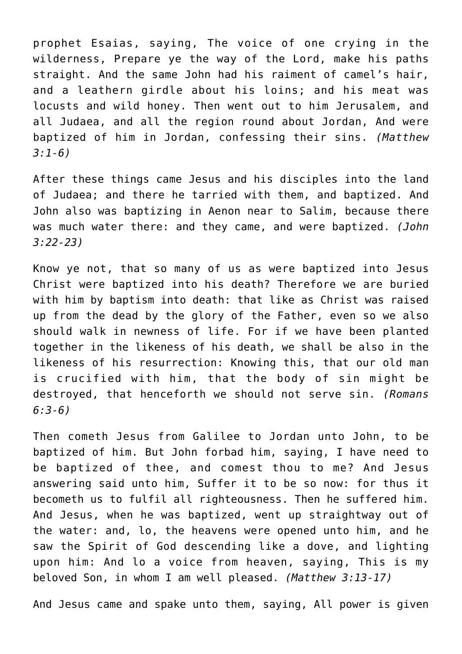prophet Esaias, saying, The voice of one crying in the wilderness, Prepare ye the way of the Lord, make his paths straight. And the same John had his raiment of camel's hair, and a leathern girdle about his loins; and his meat was locusts and wild honey. Then went out to him Jerusalem, and all Judaea, and all the region round about Jordan, And were baptized of him in Jordan, confessing their sins. *(Matthew 3:1-6)*

After these things came Jesus and his disciples into the land of Judaea; and there he tarried with them, and baptized. And John also was baptizing in Aenon near to Salim, because there was much water there: and they came, and were baptized. *(John 3:22-23)*

Know ye not, that so many of us as were baptized into Jesus Christ were baptized into his death? Therefore we are buried with him by baptism into death: that like as Christ was raised up from the dead by the glory of the Father, even so we also should walk in newness of life. For if we have been planted together in the likeness of his death, we shall be also in the likeness of his resurrection: Knowing this, that our old man is crucified with him, that the body of sin might be destroyed, that henceforth we should not serve sin. *(Romans 6:3-6)*

Then cometh Jesus from Galilee to Jordan unto John, to be baptized of him. But John forbad him, saying, I have need to be baptized of thee, and comest thou to me? And Jesus answering said unto him, Suffer it to be so now: for thus it becometh us to fulfil all righteousness. Then he suffered him. And Jesus, when he was baptized, went up straightway out of the water: and, lo, the heavens were opened unto him, and he saw the Spirit of God descending like a dove, and lighting upon him: And lo a voice from heaven, saying, This is my beloved Son, in whom I am well pleased. *(Matthew 3:13-17)*

And Jesus came and spake unto them, saying, All power is given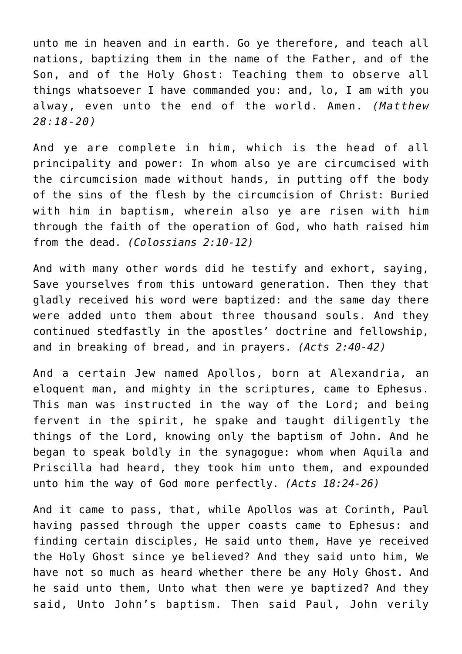unto me in heaven and in earth. Go ye therefore, and teach all nations, baptizing them in the name of the Father, and of the Son, and of the Holy Ghost: Teaching them to observe all things whatsoever I have commanded you: and, lo, I am with you alway, even unto the end of the world. Amen. *(Matthew 28:18-20)*

And ye are complete in him, which is the head of all principality and power: In whom also ye are circumcised with the circumcision made without hands, in putting off the body of the sins of the flesh by the circumcision of Christ: Buried with him in baptism, wherein also ye are risen with him through the faith of the operation of God, who hath raised him from the dead. *(Colossians 2:10-12)*

And with many other words did he testify and exhort, saying, Save yourselves from this untoward generation. Then they that gladly received his word were baptized: and the same day there were added unto them about three thousand souls. And they continued stedfastly in the apostles' doctrine and fellowship, and in breaking of bread, and in prayers. *(Acts 2:40-42)*

And a certain Jew named Apollos, born at Alexandria, an eloquent man, and mighty in the scriptures, came to Ephesus. This man was instructed in the way of the Lord; and being fervent in the spirit, he spake and taught diligently the things of the Lord, knowing only the baptism of John. And he began to speak boldly in the synagogue: whom when Aquila and Priscilla had heard, they took him unto them, and expounded unto him the way of God more perfectly. *(Acts 18:24-26)*

And it came to pass, that, while Apollos was at Corinth, Paul having passed through the upper coasts came to Ephesus: and finding certain disciples, He said unto them, Have ye received the Holy Ghost since ye believed? And they said unto him, We have not so much as heard whether there be any Holy Ghost. And he said unto them, Unto what then were ye baptized? And they said, Unto John's baptism. Then said Paul, John verily